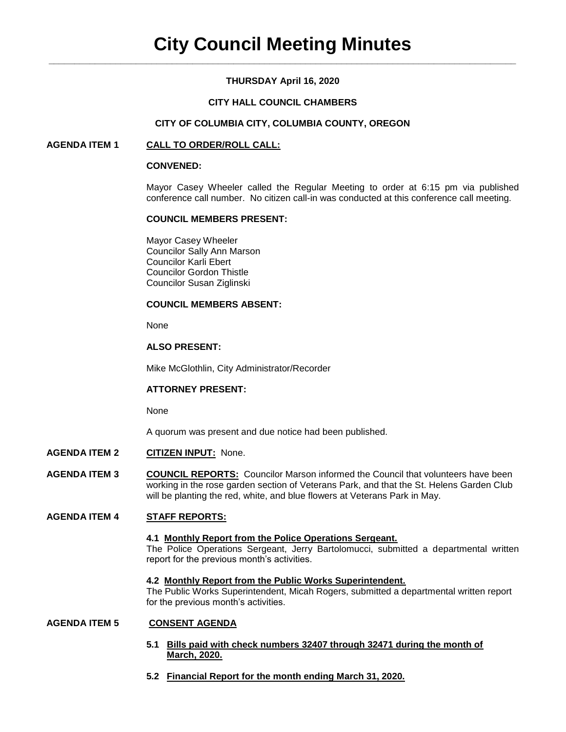# **THURSDAY April 16, 2020**

## **CITY HALL COUNCIL CHAMBERS**

## **CITY OF COLUMBIA CITY, COLUMBIA COUNTY, OREGON**

## **AGENDA ITEM 1 CALL TO ORDER/ROLL CALL:**

## **CONVENED:**

Mayor Casey Wheeler called the Regular Meeting to order at 6:15 pm via published conference call number. No citizen call-in was conducted at this conference call meeting.

## **COUNCIL MEMBERS PRESENT:**

Mayor Casey Wheeler Councilor Sally Ann Marson Councilor Karli Ebert Councilor Gordon Thistle Councilor Susan Ziglinski

# **COUNCIL MEMBERS ABSENT:**

None

## **ALSO PRESENT:**

Mike McGlothlin, City Administrator/Recorder

## **ATTORNEY PRESENT:**

None

A quorum was present and due notice had been published.

- **AGENDA ITEM 2 CITIZEN INPUT:** None.
- **AGENDA ITEM 3 COUNCIL REPORTS:** Councilor Marson informed the Council that volunteers have been working in the rose garden section of Veterans Park, and that the St. Helens Garden Club will be planting the red, white, and blue flowers at Veterans Park in May.

## **AGENDA ITEM 4 STAFF REPORTS:**

#### **4.1 Monthly Report from the Police Operations Sergeant.**

The Police Operations Sergeant, Jerry Bartolomucci, submitted a departmental written report for the previous month's activities.

#### **4.2 Monthly Report from the Public Works Superintendent.**

The Public Works Superintendent, Micah Rogers, submitted a departmental written report for the previous month's activities.

## **AGENDA ITEM 5 CONSENT AGENDA**

- **5.1 Bills paid with check numbers 32407 through 32471 during the month of March, 2020.**
- **5.2 Financial Report for the month ending March 31, 2020.**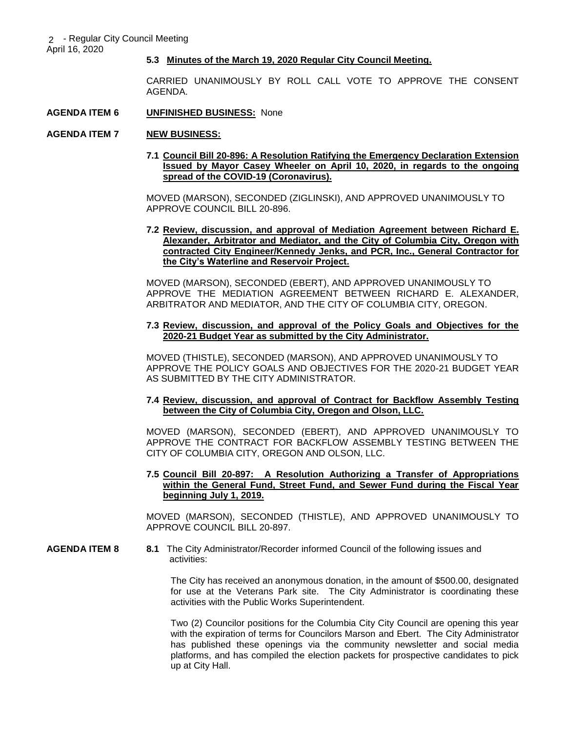## **5.3 Minutes of the March 19, 2020 Regular City Council Meeting.**

CARRIED UNANIMOUSLY BY ROLL CALL VOTE TO APPROVE THE CONSENT AGENDA.

#### **AGENDA ITEM 6 UNFINISHED BUSINESS:** None

## **AGENDA ITEM 7 NEW BUSINESS:**

**7.1 Council Bill 20-896: A Resolution Ratifying the Emergency Declaration Extension Issued by Mayor Casey Wheeler on April 10, 2020, in regards to the ongoing spread of the COVID-19 (Coronavirus).** 

MOVED (MARSON), SECONDED (ZIGLINSKI), AND APPROVED UNANIMOUSLY TO APPROVE COUNCIL BILL 20-896.

**7.2 Review, discussion, and approval of Mediation Agreement between Richard E. Alexander, Arbitrator and Mediator, and the City of Columbia City, Oregon with contracted City Engineer/Kennedy Jenks, and PCR, Inc., General Contractor for the City's Waterline and Reservoir Project.**

MOVED (MARSON), SECONDED (EBERT), AND APPROVED UNANIMOUSLY TO APPROVE THE MEDIATION AGREEMENT BETWEEN RICHARD E. ALEXANDER, ARBITRATOR AND MEDIATOR, AND THE CITY OF COLUMBIA CITY, OREGON.

## **7.3 Review, discussion, and approval of the Policy Goals and Objectives for the 2020-21 Budget Year as submitted by the City Administrator.**

MOVED (THISTLE), SECONDED (MARSON), AND APPROVED UNANIMOUSLY TO APPROVE THE POLICY GOALS AND OBJECTIVES FOR THE 2020-21 BUDGET YEAR AS SUBMITTED BY THE CITY ADMINISTRATOR.

## **7.4 Review, discussion, and approval of Contract for Backflow Assembly Testing between the City of Columbia City, Oregon and Olson, LLC.**

MOVED (MARSON), SECONDED (EBERT), AND APPROVED UNANIMOUSLY TO APPROVE THE CONTRACT FOR BACKFLOW ASSEMBLY TESTING BETWEEN THE CITY OF COLUMBIA CITY, OREGON AND OLSON, LLC.

## **7.5 Council Bill 20-897: A Resolution Authorizing a Transfer of Appropriations within the General Fund, Street Fund, and Sewer Fund during the Fiscal Year beginning July 1, 2019.**

MOVED (MARSON), SECONDED (THISTLE), AND APPROVED UNANIMOUSLY TO APPROVE COUNCIL BILL 20-897.

#### **AGENDA ITEM 8 8.1** The City Administrator/Recorder informed Council of the following issues and activities:

The City has received an anonymous donation, in the amount of \$500.00, designated for use at the Veterans Park site. The City Administrator is coordinating these activities with the Public Works Superintendent.

Two (2) Councilor positions for the Columbia City City Council are opening this year with the expiration of terms for Councilors Marson and Ebert. The City Administrator has published these openings via the community newsletter and social media platforms, and has compiled the election packets for prospective candidates to pick up at City Hall.